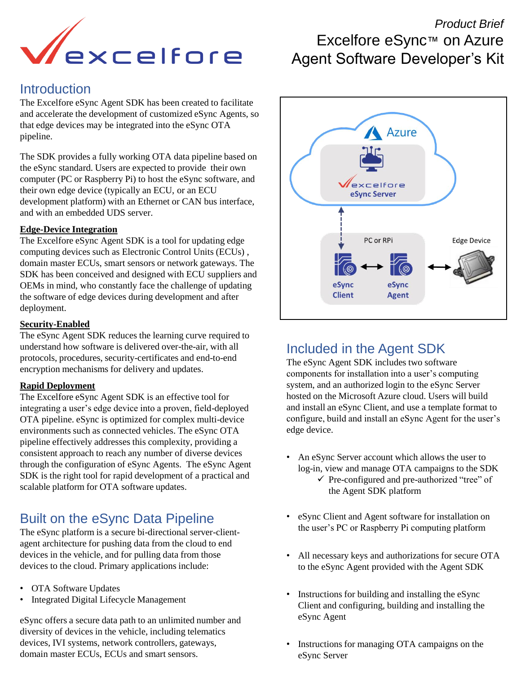

### **Introduction**

The Excelfore eSync Agent SDK has been created to facilitate and accelerate the development of customized eSync Agents, so that edge devices may be integrated into the eSync OTA pipeline.

The SDK provides a fully working OTA data pipeline based on the eSync standard. Users are expected to provide their own computer (PC or Raspberry Pi) to host the eSync software, and their own edge device (typically an ECU, or an ECU development platform) with an Ethernet or CAN bus interface, and with an embedded UDS server.

#### **Edge-Device Integration**

The Excelfore eSync Agent SDK is a tool for updating edge computing devices such as Electronic Control Units (ECUs) , domain master ECUs, smart sensors or network gateways. The SDK has been conceived and designed with ECU suppliers and OEMs in mind, who constantly face the challenge of updating the software of edge devices during development and after deployment.

#### **Security-Enabled**

The eSync Agent SDK reduces the learning curve required to understand how software is delivered over-the-air, with all protocols, procedures, security-certificates and end-to-end encryption mechanisms for delivery and updates.

#### **Rapid Deployment**

The Excelfore eSync Agent SDK is an effective tool for integrating a user's edge device into a proven, field-deployed OTA pipeline. eSync is optimized for complex multi-device environments such as connected vehicles. The eSync OTA pipeline effectively addresses this complexity, providing a consistent approach to reach any number of diverse devices through the configuration of eSync Agents. The eSync Agent SDK is the right tool for rapid development of a practical and scalable platform for OTA software updates.

# Built on the eSync Data Pipeline

The eSync platform is a secure bi-directional server-clientagent architecture for pushing data from the cloud to end devices in the vehicle, and for pulling data from those devices to the cloud. Primary applications include:

- OTA Software Updates
- Integrated Digital Lifecycle Management

eSync offers a secure data path to an unlimited number and diversity of devices in the vehicle, including telematics devices, IVI systems, network controllers, gateways, domain master ECUs, ECUs and smart sensors.

# *Product Brief*  Excelfore eSync™ on Azure Agent Software Developer's Kit



### Included in the Agent SDK

The eSync Agent SDK includes two software components for installation into a user's computing system, and an authorized login to the eSync Server hosted on the Microsoft Azure cloud. Users will build and install an eSync Client, and use a template format to configure, build and install an eSync Agent for the user's edge device.

- An eSync Server account which allows the user to log-in, view and manage OTA campaigns to the SDK
	- ✓ Pre-configured and pre-authorized "tree" of the Agent SDK platform
- eSync Client and Agent software for installation on the user's PC or Raspberry Pi computing platform
- All necessary keys and authorizations for secure OTA to the eSync Agent provided with the Agent SDK
- Instructions for building and installing the eSync Client and configuring, building and installing the eSync Agent
- Instructions for managing OTA campaigns on the eSync Server